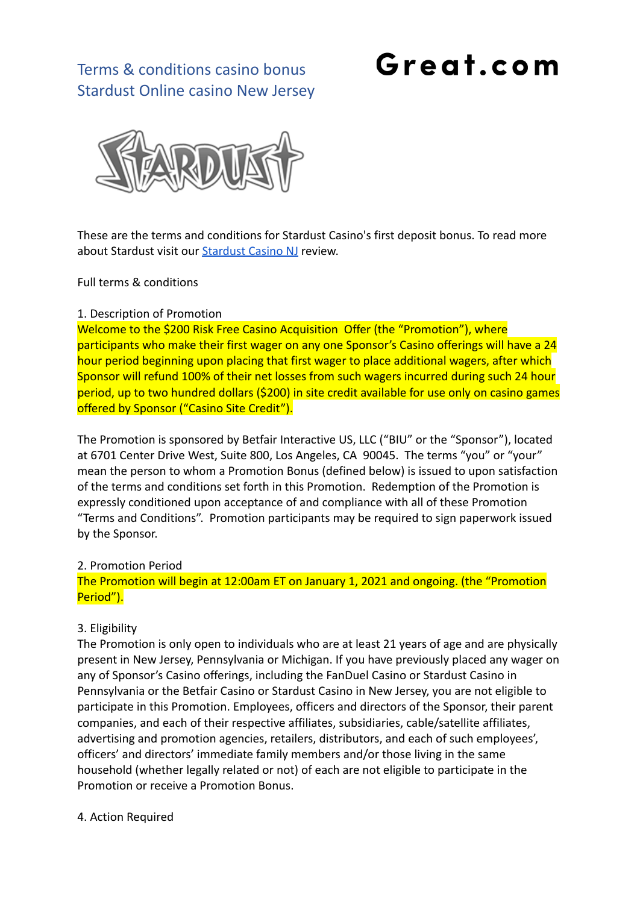# Great.com

# Terms & conditions casino bonus Stardust Online casino New Jersey



These are the terms and conditions for Stardust Casino's first deposit bonus. To read more about Stardust visit our [Stardust Casino NJ](https://great.com/en-us/online-casino/stardust-online-casino-nj/) review.

Full terms & conditions

### 1. Description of Promotion

Welcome to the \$200 Risk Free Casino Acquisition Offer (the "Promotion"), where participants who make their first wager on any one Sponsor's Casino offerings will have a 24 hour period beginning upon placing that first wager to place additional wagers, after which Sponsor will refund 100% of their net losses from such wagers incurred during such 24 hour period, up to two hundred dollars (\$200) in site credit available for use only on casino games offered by Sponsor ("Casino Site Credit").

The Promotion is sponsored by Betfair Interactive US, LLC ("BIU" or the "Sponsor"), located at 6701 Center Drive West, Suite 800, Los Angeles, CA 90045. The terms "you" or "your" mean the person to whom a Promotion Bonus (defined below) is issued to upon satisfaction of the terms and conditions set forth in this Promotion. Redemption of the Promotion is expressly conditioned upon acceptance of and compliance with all of these Promotion "Terms and Conditions". Promotion participants may be required to sign paperwork issued by the Sponsor.

#### 2. Promotion Period

The Promotion will begin at 12:00am ET on January 1, 2021 and ongoing. (the "Promotion Period").

### 3. Eligibility

The Promotion is only open to individuals who are at least 21 years of age and are physically present in New Jersey, Pennsylvania or Michigan. If you have previously placed any wager on any of Sponsor's Casino offerings, including the FanDuel Casino or Stardust Casino in Pennsylvania or the Betfair Casino or Stardust Casino in New Jersey, you are not eligible to participate in this Promotion. Employees, officers and directors of the Sponsor, their parent companies, and each of their respective affiliates, subsidiaries, cable/satellite affiliates, advertising and promotion agencies, retailers, distributors, and each of such employees', officers' and directors' immediate family members and/or those living in the same household (whether legally related or not) of each are not eligible to participate in the Promotion or receive a Promotion Bonus.

4. Action Required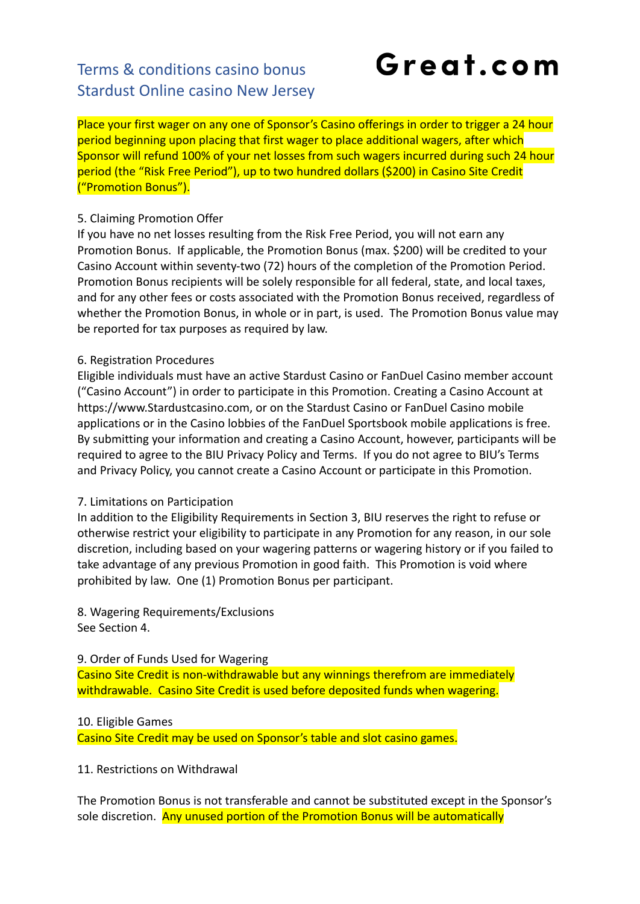# Terms & conditions casino bonus Stardust Online casino New Jersey

# Great.com

Place your first wager on any one of Sponsor's Casino offerings in order to trigger a 24 hour period beginning upon placing that first wager to place additional wagers, after which Sponsor will refund 100% of your net losses from such wagers incurred during such 24 hour period (the "Risk Free Period"), up to two hundred dollars (\$200) in Casino Site Credit ("Promotion Bonus").

## 5. Claiming Promotion Offer

If you have no net losses resulting from the Risk Free Period, you will not earn any Promotion Bonus. If applicable, the Promotion Bonus (max. \$200) will be credited to your Casino Account within seventy-two (72) hours of the completion of the Promotion Period. Promotion Bonus recipients will be solely responsible for all federal, state, and local taxes, and for any other fees or costs associated with the Promotion Bonus received, regardless of whether the Promotion Bonus, in whole or in part, is used. The Promotion Bonus value may be reported for tax purposes as required by law.

## 6. Registration Procedures

Eligible individuals must have an active Stardust Casino or FanDuel Casino member account ("Casino Account") in order to participate in this Promotion. Creating a Casino Account at https://www.Stardustcasino.com, or on the Stardust Casino or FanDuel Casino mobile applications or in the Casino lobbies of the FanDuel Sportsbook mobile applications is free. By submitting your information and creating a Casino Account, however, participants will be required to agree to the BIU Privacy Policy and Terms. If you do not agree to BIU's Terms and Privacy Policy, you cannot create a Casino Account or participate in this Promotion.

## 7. Limitations on Participation

In addition to the Eligibility Requirements in Section 3, BIU reserves the right to refuse or otherwise restrict your eligibility to participate in any Promotion for any reason, in our sole discretion, including based on your wagering patterns or wagering history or if you failed to take advantage of any previous Promotion in good faith. This Promotion is void where prohibited by law. One (1) Promotion Bonus per participant.

8. Wagering Requirements/Exclusions See Section 4.

9. Order of Funds Used for Wagering

Casino Site Credit is non-withdrawable but any winnings therefrom are immediately withdrawable. Casino Site Credit is used before deposited funds when wagering.

## 10. Eligible Games

Casino Site Credit may be used on Sponsor's table and slot casino games.

11. Restrictions on Withdrawal

The Promotion Bonus is not transferable and cannot be substituted except in the Sponsor's sole discretion. Any unused portion of the Promotion Bonus will be automatically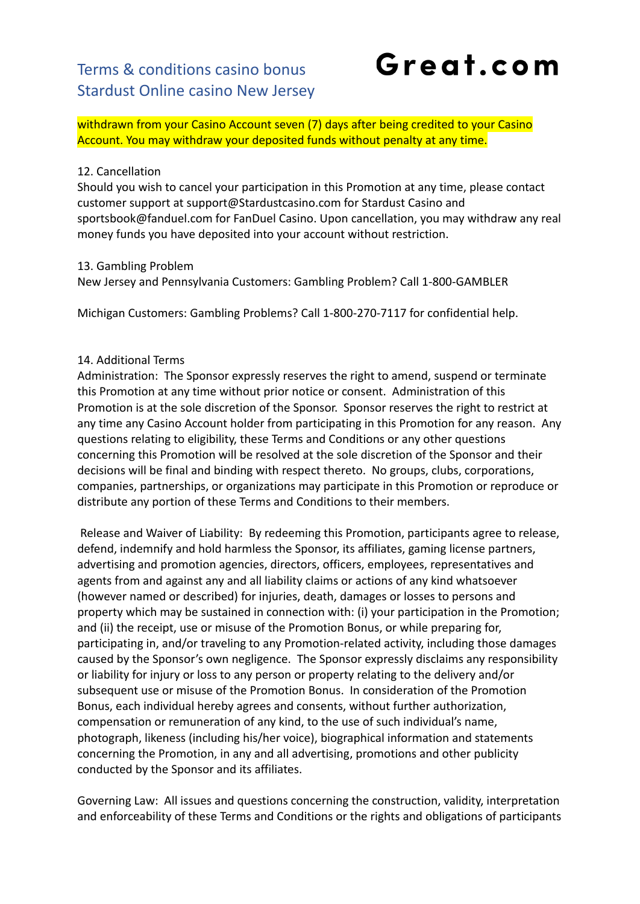withdrawn from your Casino Account seven (7) days after being credited to your Casino Account. You may withdraw your deposited funds without penalty at any time.

### 12. Cancellation

Should you wish to cancel your participation in this Promotion at any time, please contact customer support at support@Stardustcasino.com for Stardust Casino and sportsbook@fanduel.com for FanDuel Casino. Upon cancellation, you may withdraw any real money funds you have deposited into your account without restriction.

### 13. Gambling Problem

New Jersey and Pennsylvania Customers: Gambling Problem? Call 1-800-GAMBLER

Michigan Customers: Gambling Problems? Call 1-800-270-7117 for confidential help.

### 14. Additional Terms

Administration: The Sponsor expressly reserves the right to amend, suspend or terminate this Promotion at any time without prior notice or consent. Administration of this Promotion is at the sole discretion of the Sponsor. Sponsor reserves the right to restrict at any time any Casino Account holder from participating in this Promotion for any reason. Any questions relating to eligibility, these Terms and Conditions or any other questions concerning this Promotion will be resolved at the sole discretion of the Sponsor and their decisions will be final and binding with respect thereto. No groups, clubs, corporations, companies, partnerships, or organizations may participate in this Promotion or reproduce or distribute any portion of these Terms and Conditions to their members.

Release and Waiver of Liability: By redeeming this Promotion, participants agree to release, defend, indemnify and hold harmless the Sponsor, its affiliates, gaming license partners, advertising and promotion agencies, directors, officers, employees, representatives and agents from and against any and all liability claims or actions of any kind whatsoever (however named or described) for injuries, death, damages or losses to persons and property which may be sustained in connection with: (i) your participation in the Promotion; and (ii) the receipt, use or misuse of the Promotion Bonus, or while preparing for, participating in, and/or traveling to any Promotion-related activity, including those damages caused by the Sponsor's own negligence. The Sponsor expressly disclaims any responsibility or liability for injury or loss to any person or property relating to the delivery and/or subsequent use or misuse of the Promotion Bonus. In consideration of the Promotion Bonus, each individual hereby agrees and consents, without further authorization, compensation or remuneration of any kind, to the use of such individual's name, photograph, likeness (including his/her voice), biographical information and statements concerning the Promotion, in any and all advertising, promotions and other publicity conducted by the Sponsor and its affiliates.

Governing Law: All issues and questions concerning the construction, validity, interpretation and enforceability of these Terms and Conditions or the rights and obligations of participants